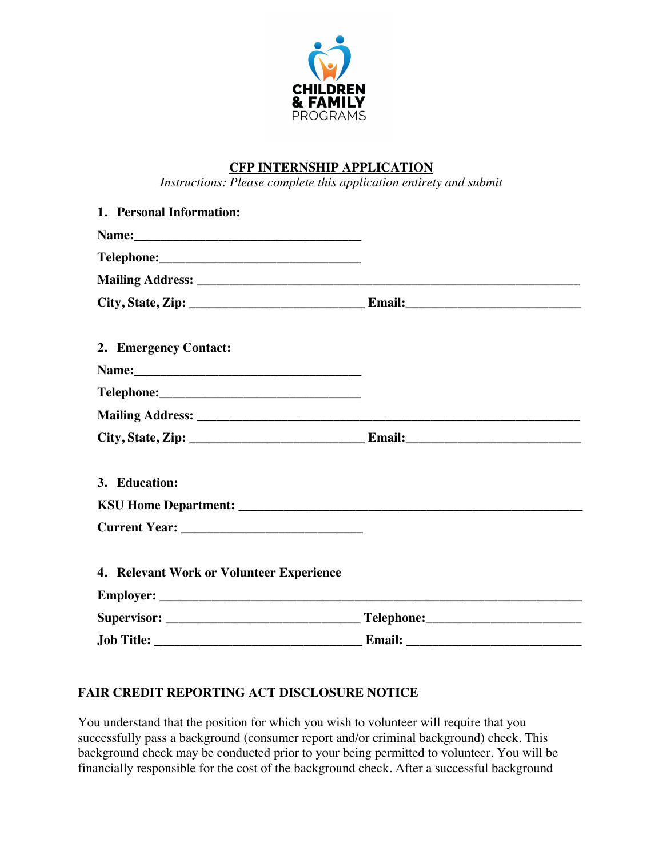

# **CFP INTERNSHIP APPLICATION**

*Instructions: Please complete this application entirety and submit* 

| 1. Personal Information:                 |  |
|------------------------------------------|--|
|                                          |  |
|                                          |  |
|                                          |  |
|                                          |  |
| 2. Emergency Contact:                    |  |
|                                          |  |
|                                          |  |
|                                          |  |
|                                          |  |
| 3. Education:                            |  |
|                                          |  |
|                                          |  |
| 4. Relevant Work or Volunteer Experience |  |
|                                          |  |
|                                          |  |
|                                          |  |

### **FAIR CREDIT REPORTING ACT DISCLOSURE NOTICE**

You understand that the position for which you wish to volunteer will require that you successfully pass a background (consumer report and/or criminal background) check. This background check may be conducted prior to your being permitted to volunteer. You will be financially responsible for the cost of the background check. After a successful background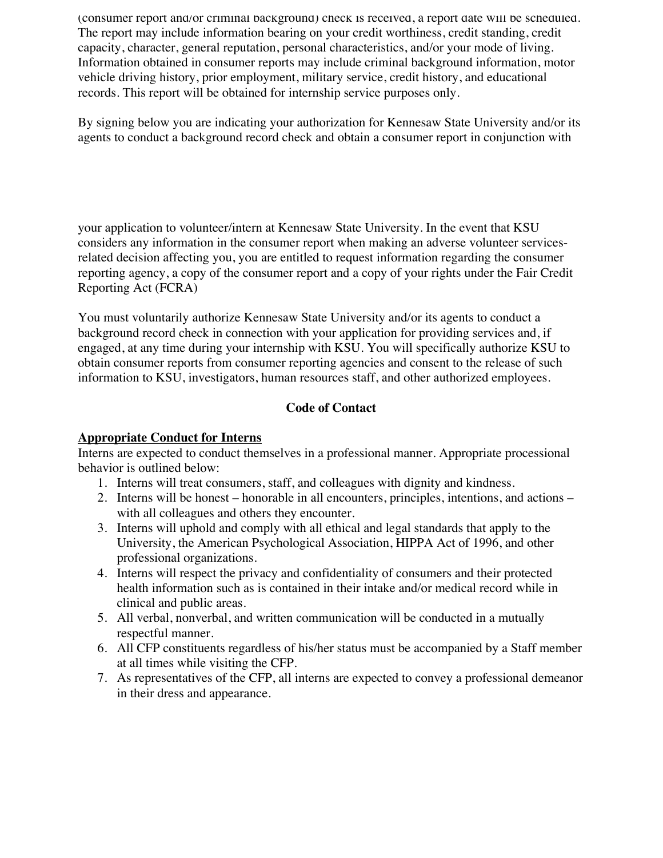(consumer report and/or criminal background) check is received, a report date will be scheduled. The report may include information bearing on your credit worthiness, credit standing, credit capacity, character, general reputation, personal characteristics, and/or your mode of living. Information obtained in consumer reports may include criminal background information, motor vehicle driving history, prior employment, military service, credit history, and educational records. This report will be obtained for internship service purposes only.

By signing below you are indicating your authorization for Kennesaw State University and/or its agents to conduct a background record check and obtain a consumer report in conjunction with

your application to volunteer/intern at Kennesaw State University. In the event that KSU considers any information in the consumer report when making an adverse volunteer servicesrelated decision affecting you, you are entitled to request information regarding the consumer reporting agency, a copy of the consumer report and a copy of your rights under the Fair Credit Reporting Act (FCRA)

You must voluntarily authorize Kennesaw State University and/or its agents to conduct a background record check in connection with your application for providing services and, if engaged, at any time during your internship with KSU. You will specifically authorize KSU to obtain consumer reports from consumer reporting agencies and consent to the release of such information to KSU, investigators, human resources staff, and other authorized employees.

# **Code of Contact**

### **Appropriate Conduct for Interns**

Interns are expected to conduct themselves in a professional manner. Appropriate processional behavior is outlined below:

- 1. Interns will treat consumers, staff, and colleagues with dignity and kindness.
- 2. Interns will be honest honorable in all encounters, principles, intentions, and actions with all colleagues and others they encounter.
- 3. Interns will uphold and comply with all ethical and legal standards that apply to the University, the American Psychological Association, HIPPA Act of 1996, and other professional organizations.
- 4. Interns will respect the privacy and confidentiality of consumers and their protected health information such as is contained in their intake and/or medical record while in clinical and public areas.
- 5. All verbal, nonverbal, and written communication will be conducted in a mutually respectful manner.
- 6. All CFP constituents regardless of his/her status must be accompanied by a Staff member at all times while visiting the CFP.
- 7. As representatives of the CFP, all interns are expected to convey a professional demeanor in their dress and appearance.